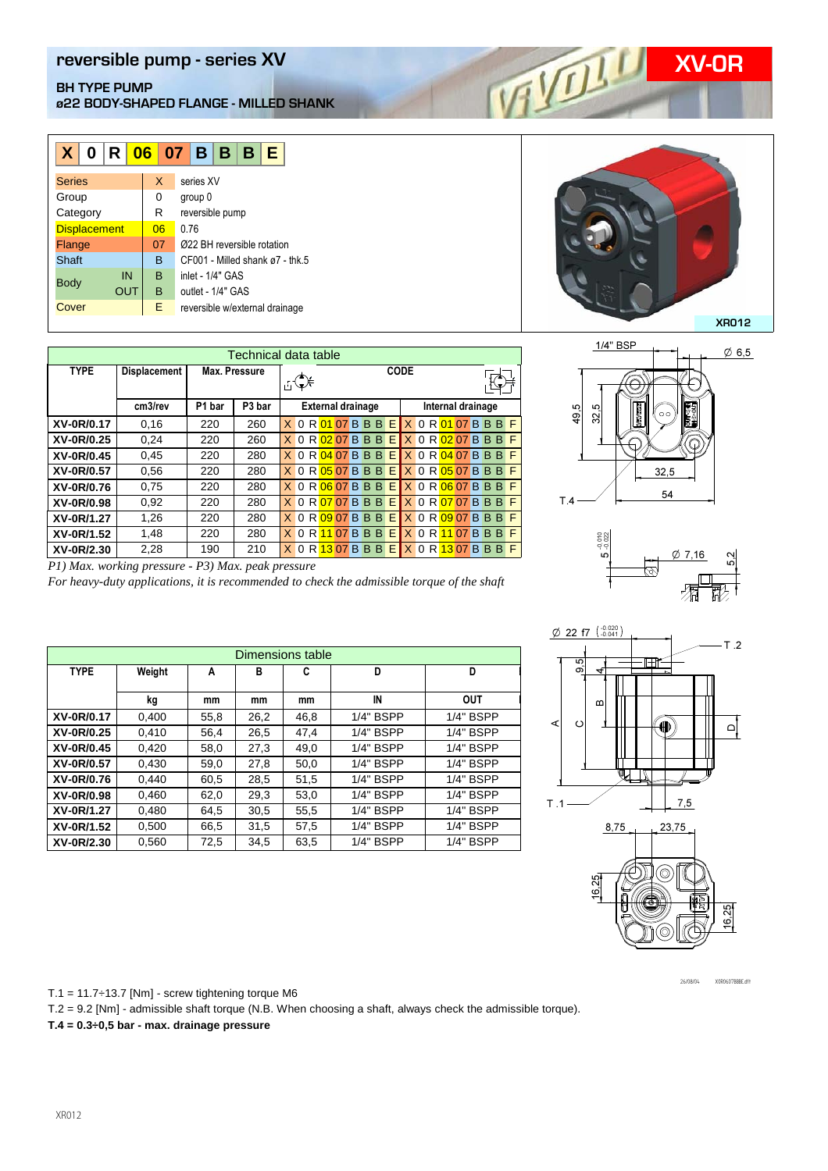## **REVERT SHELF AND REVERT ANGLES OF A VIOLATION CONTRACT OF A VIOLATION OF A VIOLATION OF A VIOLATION OF A VIOLATION OF A VIOLATION OF A VIOLATION OF A VIOLATION OF A VIOLATION OF A VIOLATION OF A VIOLATION OF A VIOLATION O BH TYPE PUMP ø22 BODY-SHAPED FLANGE - MILLED SHANK**

| X<br>0              | IR I |    | $06$ 07 B B B<br>E                  |  |  |  |  |  |  |  |
|---------------------|------|----|-------------------------------------|--|--|--|--|--|--|--|
| <b>Series</b>       |      | X  | series XV                           |  |  |  |  |  |  |  |
| Group               |      | 0  | group 0                             |  |  |  |  |  |  |  |
| Category            |      | R  | reversible pump                     |  |  |  |  |  |  |  |
| <b>Displacement</b> |      | 06 | 0.76                                |  |  |  |  |  |  |  |
| Flange              |      | 07 | 0022 BH reversible rotation         |  |  |  |  |  |  |  |
| Shaft               |      | B  | $CF001$ - Milled shank $a7$ - thk 5 |  |  |  |  |  |  |  |
|                     | IN   | B  | inlet - 1/4" GAS                    |  |  |  |  |  |  |  |
| <b>Body</b>         | OUT  | в  | outlet - 1/4" GAS                   |  |  |  |  |  |  |  |
| Cover               |      | Е  | reversible w/external drainage      |  |  |  |  |  |  |  |

| Technical data table                               |                     |                              |     |                |                          |  |  |  |  |      |                   |  |                                                                       |  |  |  |  |
|----------------------------------------------------|---------------------|------------------------------|-----|----------------|--------------------------|--|--|--|--|------|-------------------|--|-----------------------------------------------------------------------|--|--|--|--|
| <b>TYPE</b>                                        | <b>Displacement</b> | Max. Pressure                |     |                | 古美                       |  |  |  |  | CODE |                   |  |                                                                       |  |  |  |  |
|                                                    | cm3/rev             | P <sub>3</sub> bar<br>P1 bar |     |                | <b>External drainage</b> |  |  |  |  |      | Internal drainage |  |                                                                       |  |  |  |  |
| XV-0R/0.17                                         | 0,16                | 220                          | 260 |                |                          |  |  |  |  |      |                   |  | X 0 R 01 07 B B B E X 0 R 01 07 B B B F                               |  |  |  |  |
| XV-0R/0.25                                         | 0,24                | 220                          | 260 |                |                          |  |  |  |  |      |                   |  | X 0 R 02 07 B B B E X 0 R 02 07 B B B F                               |  |  |  |  |
| XV-0R/0.45                                         | 0,45                | 220                          | 280 |                |                          |  |  |  |  |      |                   |  | X 0 R 04 07 B B B E X 0 R 04 07 B B B F                               |  |  |  |  |
| XV-0R/0.57                                         | 0.56                | 220                          | 280 |                |                          |  |  |  |  |      |                   |  | X 0 R 05 07 B B B E X 0 R 05 07 B B B F                               |  |  |  |  |
| XV-0R/0.76                                         | 0.75                | 220                          | 280 |                |                          |  |  |  |  |      |                   |  | X 0 R 06 07 B B B E X 0 R 06 07 B B B F                               |  |  |  |  |
| XV-0R/0.98                                         | 0,92                | 220                          | 280 |                |                          |  |  |  |  |      |                   |  | X 0 R 07 07 B B B E X 0 R 07 07 B B B F                               |  |  |  |  |
| XV-0R/1.27                                         | 1,26                | 220                          | 280 |                |                          |  |  |  |  |      |                   |  | $X$ 0 R $\overline{09}$ 07 B B B E $X$ 0 R $\overline{09}$ 07 B B B F |  |  |  |  |
| XV-0R/1.52                                         | 1,48                | 220                          | 280 | X <sub>0</sub> |                          |  |  |  |  |      |                   |  | R 11 07 B B B E X 0 R 11 07 B B B F                                   |  |  |  |  |
| XV-0R/2.30                                         | 2,28                | 190                          | 210 |                |                          |  |  |  |  |      |                   |  | X 0 R 13 07 B B B E X 0 R 13 07 B B B F                               |  |  |  |  |
| P1) Max. working pressure - P3) Max. peak pressure |                     |                              |     |                |                          |  |  |  |  |      |                   |  |                                                                       |  |  |  |  |

*For heavy-duty applications, it is recommended to check the admissible torque of the shaft*







| Dimensions table |        |      |      |      |             |             |  |  |  |  |
|------------------|--------|------|------|------|-------------|-------------|--|--|--|--|
| <b>TYPE</b>      | Weight | A    | в    | C    | D           | D           |  |  |  |  |
|                  |        |      |      |      |             |             |  |  |  |  |
|                  | kg     | mm   | mm   | mm   | IN          | <b>OUT</b>  |  |  |  |  |
| XV-0R/0.17       | 0.400  | 55,8 | 26,2 | 46,8 | $1/4"$ BSPP | 1/4" BSPP   |  |  |  |  |
| XV-0R/0.25       | 0,410  | 56,4 | 26,5 | 47.4 | 1/4" BSPP   | 1/4" BSPP   |  |  |  |  |
| XV-0R/0.45       | 0,420  | 58,0 | 27,3 | 49,0 | $1/4"$ BSPP | $1/4"$ BSPP |  |  |  |  |
| XV-0R/0.57       | 0,430  | 59,0 | 27,8 | 50,0 | $1/4"$ BSPP | 1/4" BSPP   |  |  |  |  |
| XV-0R/0.76       | 0.440  | 60,5 | 28.5 | 51,5 | $1/4"$ BSPP | 1/4" BSPP   |  |  |  |  |
| XV-0R/0.98       | 0,460  | 62,0 | 29,3 | 53,0 | 1/4" BSPP   | 1/4" BSPP   |  |  |  |  |
| XV-0R/1.27       | 0.480  | 64.5 | 30,5 | 55,5 | $1/4"$ BSPP | 1/4" BSPP   |  |  |  |  |
| XV-0R/1.52       | 0,500  | 66,5 | 31,5 | 57.5 | 1/4" BSPP   | 1/4" BSPP   |  |  |  |  |
| XV-0R/2.30       | 0,560  | 72,5 | 34,5 | 63,5 | $1/4"$ BSPP | 1/4" BSPP   |  |  |  |  |



26/08/04 X0R0607BBBE.dft

T.1 =  $11.7 \div 13.7$  [Nm] - screw tightening torque M6

T.2 = 9.2 [Nm] - admissible shaft torque (N.B. When choosing a shaft, always check the admissible torque).

**T.4 = 0.3÷0,5 bar - max. drainage pressure**